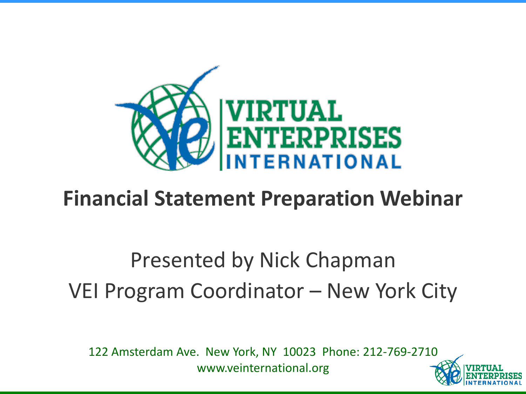

### **Financial Statement Preparation Webinar**

## Presented by Nick Chapman VEI Program Coordinator – New York City

122 Amsterdam Ave. New York, NY 10023 Phone: 212-769-2710 www.veinternational.org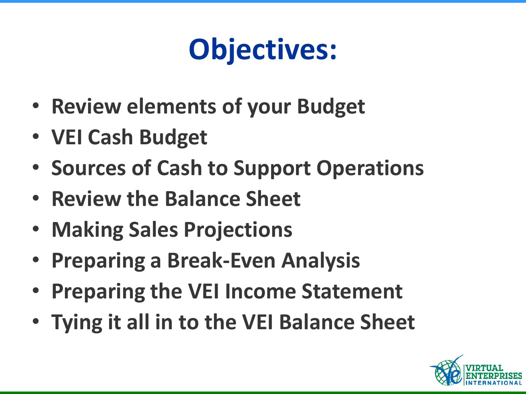# **Objectives:**

- **Review elements of your Budget**
- **VEI Cash Budget**
- **Sources of Cash to Support Operations**
- **Review the Balance Sheet**
- **Making Sales Projections**
- **Preparing a Break-Even Analysis**
- **Preparing the VEI Income Statement**
- **Tying it all in to the VEI Balance Sheet**

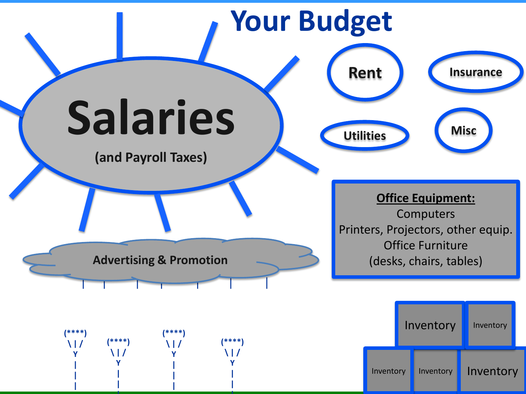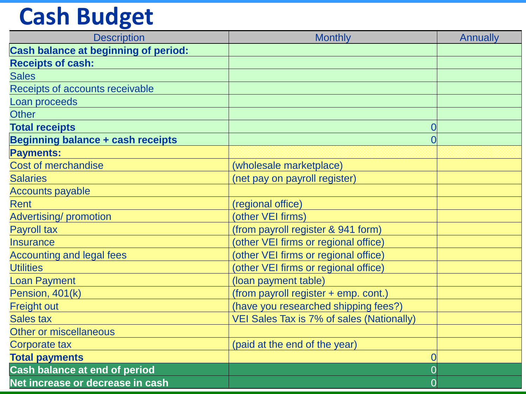## **Cash Budget**

| <b>Description</b>                          | <b>Monthly</b>                            | <b>Annually</b> |
|---------------------------------------------|-------------------------------------------|-----------------|
| <b>Cash balance at beginning of period:</b> |                                           |                 |
| <b>Receipts of cash:</b>                    |                                           |                 |
| <b>Sales</b>                                |                                           |                 |
| Receipts of accounts receivable             |                                           |                 |
| Loan proceeds                               |                                           |                 |
| <b>Other</b>                                |                                           |                 |
| <b>Total receipts</b>                       |                                           | 0               |
| <b>Beginning balance + cash receipts</b>    |                                           | $\overline{0}$  |
| <b>Payments:</b>                            |                                           |                 |
| <b>Cost of merchandise</b>                  | (wholesale marketplace)                   |                 |
| <b>Salaries</b>                             | (net pay on payroll register)             |                 |
| <b>Accounts payable</b>                     |                                           |                 |
| <b>Rent</b>                                 | (regional office)                         |                 |
| <b>Advertising/promotion</b>                | (other VEI firms)                         |                 |
| <b>Payroll tax</b>                          | (from payroll register & 941 form)        |                 |
| <b>Insurance</b>                            | (other VEI firms or regional office)      |                 |
| <b>Accounting and legal fees</b>            | (other VEI firms or regional office)      |                 |
| <b>Utilities</b>                            | (other VEI firms or regional office)      |                 |
| <b>Loan Payment</b>                         | (loan payment table)                      |                 |
| Pension, 401(k)                             | (from payroll register + emp. cont.)      |                 |
| <b>Freight out</b>                          | (have you researched shipping fees?)      |                 |
| <b>Sales tax</b>                            | VEI Sales Tax is 7% of sales (Nationally) |                 |
| <b>Other or miscellaneous</b>               |                                           |                 |
| <b>Corporate tax</b>                        | (paid at the end of the year)             |                 |
| <b>Total payments</b>                       |                                           | $\overline{0}$  |
| <b>Cash balance at end of period</b>        |                                           | $\overline{0}$  |
| Net increase or decrease in cash            |                                           | $\overline{0}$  |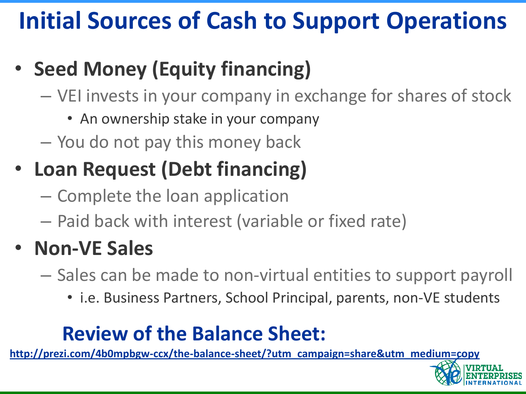## **Initial Sources of Cash to Support Operations**

- **Seed Money (Equity financing)**
	- VEI invests in your company in exchange for shares of stock
		- An ownership stake in your company
	- You do not pay this money back
- **Loan Request (Debt financing)**
	- Complete the loan application
	- Paid back with interest (variable or fixed rate)

### • **Non-VE Sales**

- Sales can be made to non-virtual entities to support payroll
	- i.e. Business Partners, School Principal, parents, non-VE students

### **Review of the Balance Sheet:**

**[http://prezi.com/4b0mpbgw-ccx/the-balance-sheet/?utm\\_campaign=share&utm\\_medium=copy](http://prezi.com/4b0mpbgw-ccx/the-balance-sheet/?utm_campaign=share&utm_medium=copy)**

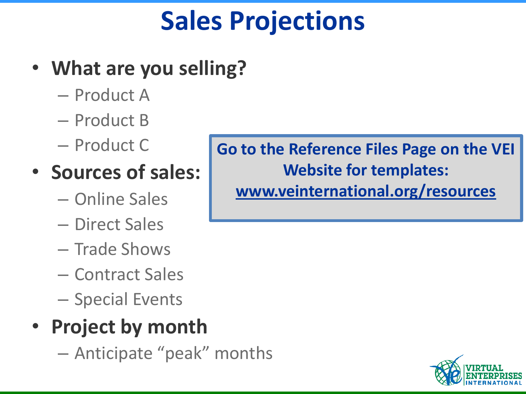## **Sales Projections**

### • **What are you selling?**

- Product A
- Product B
- Product C

### • **Sources of sales:**

- Online Sales
- Direct Sales
- Trade Shows
- Contract Sales
- Special Events

### • **Project by month**

– Anticipate "peak" months

**Go to the Reference Files Page on the VEI Website for templates: [www.veinternational.org/resources](http://www.veinternational.org/resources)**

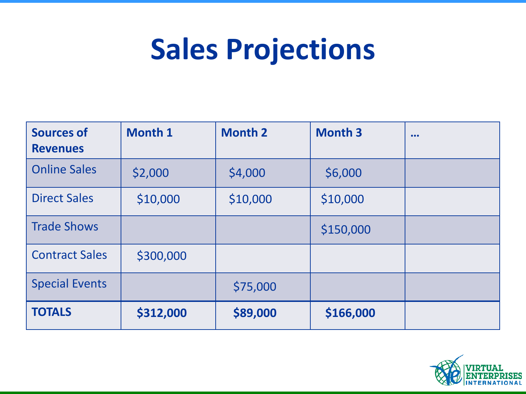## **Sales Projections**

| <b>Sources of</b><br><b>Revenues</b> | <b>Month 1</b> | <b>Month 2</b> | <b>Month 3</b> | $\bullet\bullet\bullet$ |
|--------------------------------------|----------------|----------------|----------------|-------------------------|
| <b>Online Sales</b>                  | \$2,000        | \$4,000        | \$6,000        |                         |
| <b>Direct Sales</b>                  | \$10,000       | \$10,000       | \$10,000       |                         |
| <b>Trade Shows</b>                   |                |                | \$150,000      |                         |
| <b>Contract Sales</b>                | \$300,000      |                |                |                         |
| <b>Special Events</b>                |                | \$75,000       |                |                         |
| <b>TOTALS</b>                        | \$312,000      | \$89,000       | \$166,000      |                         |

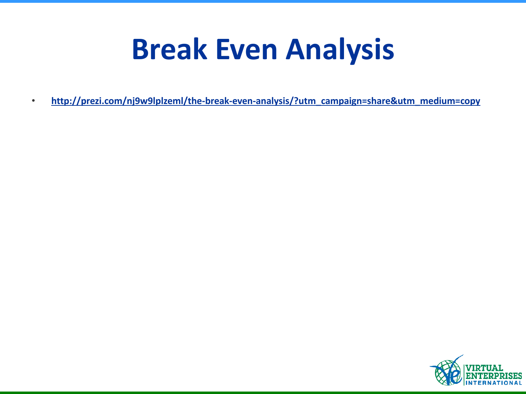## **Break Even Analysis**

• **[http://prezi.com/nj9w9lplzeml/the-break-even-analysis/?utm\\_campaign=share&utm\\_medium=copy](http://prezi.com/nj9w9lplzeml/the-break-even-analysis/?utm_campaign=share&utm_medium=copy)**

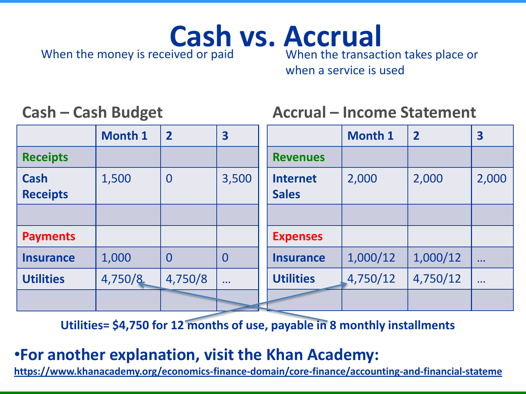## When the money is received or paid

**Cash vs. Accrual**<br>eived or paid<br>When the transaction takes place or

when a service is used

### **Cash – Cash Budget**

### **Accrual – Income Statement**

|                                | <b>Month 1</b> | $\overline{2}$ | 3              |                                 | <b>Month 1</b> | $\overline{2}$ | $\overline{\mathbf{3}}$ |
|--------------------------------|----------------|----------------|----------------|---------------------------------|----------------|----------------|-------------------------|
| <b>Receipts</b>                |                |                |                | <b>Revenues</b>                 |                |                |                         |
| <b>Cash</b><br><b>Receipts</b> | 1,500          | $\bf{0}$       | 3,500          | <b>Internet</b><br><b>Sales</b> | 2,000          | 2,000          | 2,000                   |
|                                |                |                |                |                                 |                |                |                         |
| <b>Payments</b>                |                |                |                | <b>Expenses</b>                 |                |                |                         |
| <b>Insurance</b>               | 1,000          | $\overline{0}$ | $\overline{0}$ | <b>Insurance</b>                | 1,000/12       | 1,000/12       | $\cdots$                |
| <b>Utilities</b>               | 4,750/8        | 4,750/8        | $\sim 10$      | <b>Utilities</b>                | 4,750/12       | 4,750/12       | $\cdots$                |
|                                |                |                |                |                                 |                |                |                         |

**Utilities= \$4,750 for 12 months of use, payable in 8 monthly installments**

### •**For another explanation, visit the Khan Academy:**

**<https://www.khanacademy.org/economics-finance-domain/core-finance/accounting-and-financial-stateme>**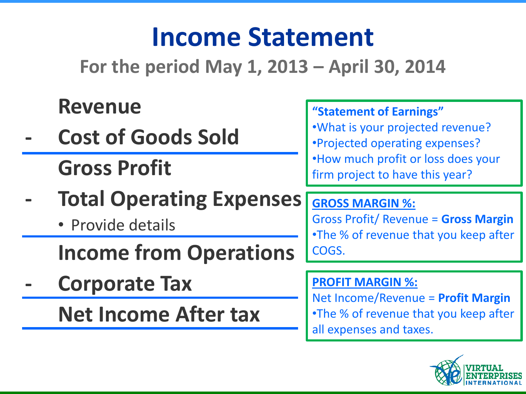## **Income Statement**

**For the period May 1, 2013 – April 30, 2014**

### **Revenue**

- **- Cost of Goods Sold Gross Profit**
- **- Total Operating Expenses**
	- Provide details

**Income from Operations**

**- Corporate Tax**

**Net Income After tax**

#### **"Statement of Earnings"**

•What is your projected revenue? •Projected operating expenses? •How much profit or loss does your firm project to have this year?

#### **GROSS MARGIN %:**

Gross Profit/ Revenue = **Gross Margin** •The % of revenue that you keep after COGS.

#### **PROFIT MARGIN %:**

Net Income/Revenue = **Profit Margin** •The % of revenue that you keep after

all expenses and taxes.

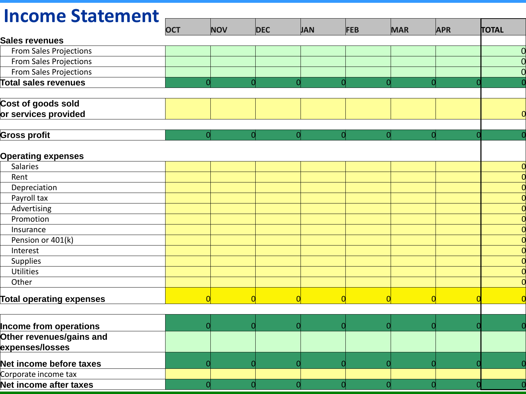#### **OCT NOV DEC JAN FEB MAR APR TOTAL Sales revenues** From Sales Projections 0 From Sales Projections 0 From Sales Projections **Contains the Contact of Contact Contact Contact Contact Contact Contact Contact Contact Total sales revenues** 0 0 0 0 0 0 0 0 **Cost of goods sold or services provided** 0 **Gross profit** 0| 0| 0| 0| 0| 0| 0| 0 **Operating expenses** Salaries **Salaries (1996), which is a set of the contract of the contract of the contract of the contract of the contract of the contract of the contract of the contract of the contract of the contract of the contract of t** Rent the contract of the contract of the contract of the contract of the contract of the contract of the contract of Depreciation 0 Payroll tax 0 Advertising 0 Promotion 0 Insurance 0 Pension or 401(k) 0 Interest 0 Supplies 0 Utilities **Discrete Contact Contact Contact Contact Contact Contact Contact Contact Contact Contact Contact Contact Contact Contact Contact Contact Contact Contact Contact Contact Contact Contact Contact Contact Contact Co** Other 0 Total operating expenses <mark> 0</mark> 0<mark> 0</mark> 0<mark> 0</mark> 0<mark> 0</mark> 0 **Income from operations Other revenues/gains and expenses/losses Net income before taxes** 0 0 0 0 0 0 0 0 Corporate income tax **Net income after taxes** 0 0 0 0 0 0 0 0 **Income Statement**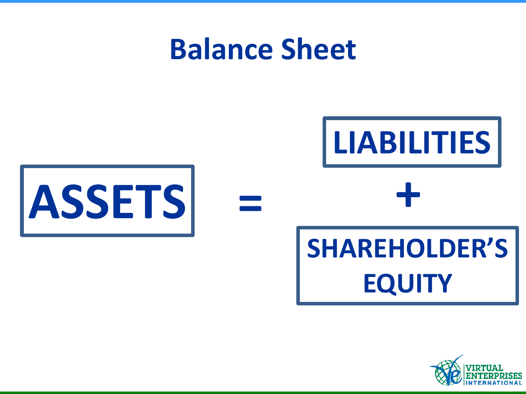## **Balance Sheet**



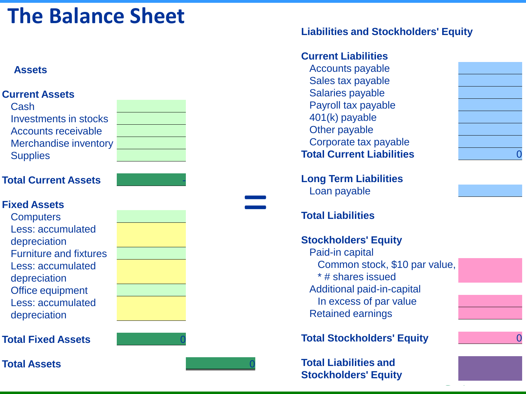### **The Balance Sheet**

#### **Assets**



#### **Liabilities and Stockholders' Equity**

#### **Current Liabilities**

Accounts payable Sales tax payable Salaries payable Payroll tax payable 401(k) payable Other payable Corporate tax payable **Total Current Liabilities** 0

**Long Term Liabilities**  Loan payable

#### **Total Liabilities**

#### **Stockholders' Equity**

Paid-in capital Common stock, \$10 par value, \* # shares issued Additional paid-in-capital In excess of par value Retained earnings

**Total Stockholders' Equity** 0

**Total Liabilities and Stockholders' Equity**